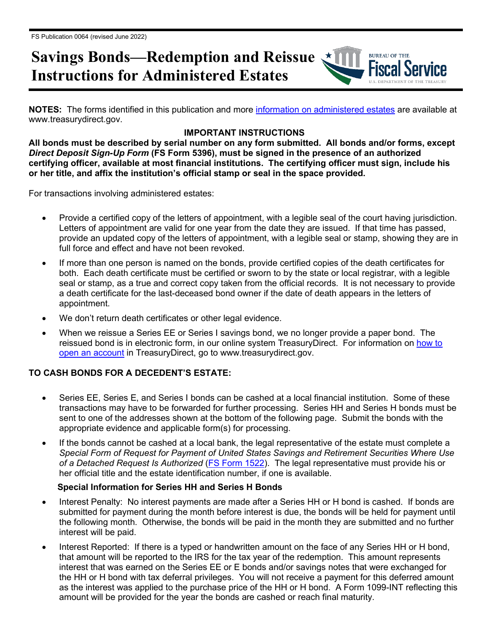# **Savings Bonds—Redemption and Reissue Instructions for Administered Estates**

**NOTES:** The forms identified in this publication and more [information on administered estates](http://www.treasurydirect.gov/indiv/research/indepth/ebonds/res_e_bonds_eedeath_eecourtappointed.htm) are available at www.treasurydirect.gov.

**BUREAU OF THE** 

## **IMPORTANT INSTRUCTIONS**

**All bonds must be described by serial number on any form submitted. All bonds and/or forms, except**  *Direct Deposit Sign-Up Form* **(FS Form 5396), must be signed in the presence of an authorized certifying officer, available at most financial institutions. The certifying officer must sign, include his or her title, and affix the institution's official stamp or seal in the space provided.**

For transactions involving administered estates:

- Provide a certified copy of the letters of appointment, with a legible seal of the court having jurisdiction. Letters of appointment are valid for one year from the date they are issued. If that time has passed, provide an updated copy of the letters of appointment, with a legible seal or stamp, showing they are in full force and effect and have not been revoked.
- If more than one person is named on the bonds, provide certified copies of the death certificates for both. Each death certificate must be certified or sworn to by the state or local registrar, with a legible seal or stamp, as a true and correct copy taken from the official records. It is not necessary to provide a death certificate for the last-deceased bond owner if the date of death appears in the letters of appointment.
- We don't return death certificates or other legal evidence.
- When we reissue a Series EE or Series I savings bond, we no longer provide a paper bond. The reissued bond is in electronic form, in our online system TreasuryDirect. For information on [how to](http://www.treasurydirect.gov/indiv/myaccount/myaccount_treasurydirect.htm)  [open an account](http://www.treasurydirect.gov/indiv/myaccount/myaccount_treasurydirect.htm) in TreasuryDirect, go to www.treasurydirect.gov.

## **TO CASH BONDS FOR A DECEDENT'S ESTATE:**

- Series EE, Series E, and Series I bonds can be cashed at a local financial institution. Some of these transactions may have to be forwarded for further processing. Series HH and Series H bonds must be sent to one of the addresses shown at the bottom of the following page. Submit the bonds with the appropriate evidence and applicable form(s) for processing.
- If the bonds cannot be cashed at a local bank, the legal representative of the estate must complete a *Special Form of Request for Payment of United States Savings and Retirement Securities Where Use of a Detached Request Is Authorized* [\(FS Form 1522\)](http://www.treasurydirect.gov/forms/sav1522.pdf). The legal representative must provide his or her official title and the estate identification number, if one is available.

#### **Special Information for Series HH and Series H Bonds**

- Interest Penalty: No interest payments are made after a Series HH or H bond is cashed. If bonds are submitted for payment during the month before interest is due, the bonds will be held for payment until the following month. Otherwise, the bonds will be paid in the month they are submitted and no further interest will be paid.
- Interest Reported: If there is a typed or handwritten amount on the face of any Series HH or H bond, that amount will be reported to the IRS for the tax year of the redemption. This amount represents interest that was earned on the Series EE or E bonds and/or savings notes that were exchanged for the HH or H bond with tax deferral privileges. You will not receive a payment for this deferred amount as the interest was applied to the purchase price of the HH or H bond. A Form 1099-INT reflecting this amount will be provided for the year the bonds are cashed or reach final maturity.